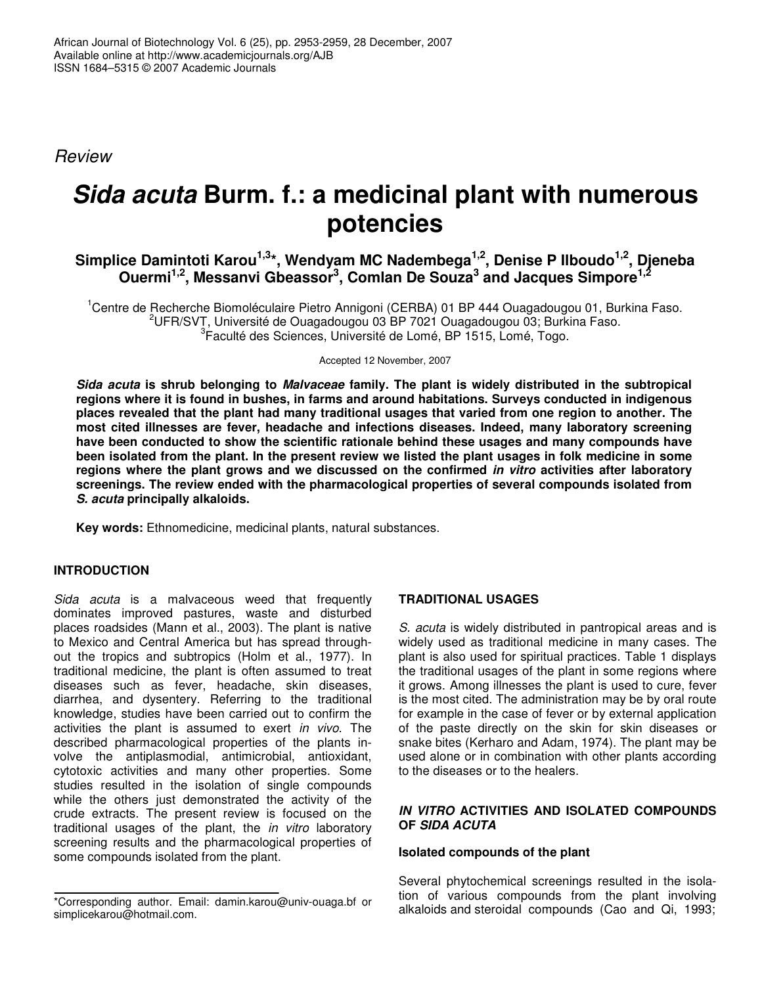*Review*

# *Sida acuta* **Burm. f.: a medicinal plant with numerous potencies**

**Simplice Damintoti Karou 1,3 \*, Wendyam MC Nadembega 1,2 , Denise P Ilboudo 1,2 , Djeneba Ouermi 1,2 , Messanvi Gbeassor 3 , Comlan De Souza 3 and Jacques Simpore 1,2**

<sup>1</sup>Centre de Recherche Biomoléculaire Pietro Annigoni (CERBA) 01 BP 444 Ouagadougou 01, Burkina Faso.  $2$ UFR/SVT, Université de Ouagadougou 03 BP 7021 Ouagadougou 03; Burkina Faso. 3 Faculté des Sciences, Université de Lomé, BP 1515, Lomé, Togo.

Accepted 12 November, 2007

*Sida acuta* **is shrub belonging to** *Malvaceae* **family. The plant is widely distributed in the subtropical regions where it is found in bushes, in farms and around habitations. Surveys conducted in indigenous places revealed that the plant had many traditional usages that varied from one region to another. The most cited illnesses are fever, headache and infections diseases. Indeed, many laboratory screening have been conducted to show the scientific rationale behind these usages and many compounds have** been isolated from the plant. In the present review we listed the plant usages in folk medicine in some **regions where the plant grows and we discussed on the confirmed** *in vitro* **activities after laboratory screenings. The review ended with the pharmacological properties of several compounds isolated from** *S. acuta* **principally alkaloids.**

**Key words:** Ethnomedicine, medicinal plants, natural substances.

# **INTRODUCTION**

*Sida acuta* is a malvaceous weed that frequently dominates improved pastures, waste and disturbed places roadsides (Mann et al., 2003). The plant is native to Mexico and Central America but has spread throughout the tropics and subtropics (Holm et al., 1977). In traditional medicine, the plant is often assumed to treat diseases such as fever, headache, skin diseases, diarrhea, and dysentery. Referring to the traditional knowledge, studies have been carried out to confirm the activities the plant is assumed to exert *in vivo*. The described pharmacological properties of the plants involve the antiplasmodial, antimicrobial, antioxidant, cytotoxic activities and many other properties. Some studies resulted in the isolation of single compounds while the others just demonstrated the activity of the crude extracts. The present review is focused on the traditional usages of the plant, the *in vitro* laboratory screening results and the pharmacological properties of some compounds isolated from the plant.

# **TRADITIONAL USAGES**

*S. acuta* is widely distributed in pantropical areas and is widely used as traditional medicine in many cases. The plant is also used for spiritual practices. Table 1 displays the traditional usages of the plant in some regions where it grows. Among illnesses the plant is used to cure, fever is the most cited. The administration may be by oral route for example in the case of fever or by external application of the paste directly on the skin for skin diseases or snake bites (Kerharo and Adam, 1974). The plant may be used alone or in combination with other plants according to the diseases or to the healers.

### *IN VITRO* **ACTIVITIES AND ISOLATED COMPOUNDS OF** *SIDA ACUTA*

# **Isolated compounds of the plant**

Several phytochemical screenings resulted in the isolation of various compounds from the plant involving alkaloids and steroidal compounds (Cao and Qi, 1993;

<sup>\*</sup>Corresponding author. Email: damin.karou@univ-ouaga.bf or simplicekarou@hotmail.com.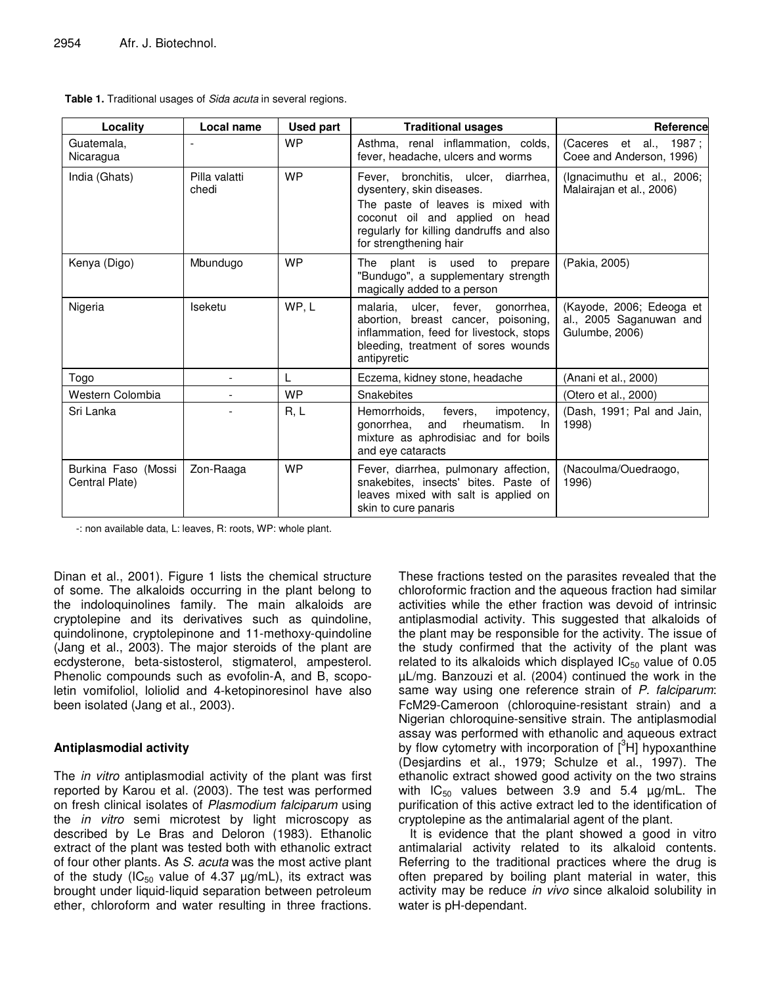| Locality                              | Local name             | <b>Used part</b> | <b>Traditional usages</b>                                                                                                                                                                                      | <b>Reference</b>                                                      |
|---------------------------------------|------------------------|------------------|----------------------------------------------------------------------------------------------------------------------------------------------------------------------------------------------------------------|-----------------------------------------------------------------------|
| Guatemala,<br>Nicaragua               |                        | <b>WP</b>        | Asthma, renal inflammation, colds,<br>fever, headache, ulcers and worms                                                                                                                                        | (Caceres et al., 1987;<br>Coee and Anderson, 1996)                    |
| India (Ghats)                         | Pilla valatti<br>chedi | <b>WP</b>        | Fever, bronchitis, ulcer, diarrhea,<br>dysentery, skin diseases.<br>The paste of leaves is mixed with<br>coconut oil and applied on head<br>regularly for killing dandruffs and also<br>for strengthening hair | (Ignacimuthu et al., 2006;<br>Malairaian et al., 2006)                |
| Kenya (Digo)                          | Mbundugo               | <b>WP</b>        | The plant is used to prepare<br>"Bundugo", a supplementary strength<br>magically added to a person                                                                                                             | (Pakia, 2005)                                                         |
| Nigeria                               | Iseketu                | WP, L            | malaria,<br>ulcer, fever,<br>gonorrhea,<br>abortion, breast cancer, poisoning,<br>inflammation, feed for livestock, stops<br>bleeding, treatment of sores wounds<br>antipyretic                                | (Kayode, 2006; Edeoga et<br>al., 2005 Saganuwan and<br>Gulumbe, 2006) |
| Togo                                  | $\blacksquare$         | L                | Eczema, kidney stone, headache                                                                                                                                                                                 | (Anani et al., 2000)                                                  |
| Western Colombia                      | $\blacksquare$         | <b>WP</b>        | Snakebites                                                                                                                                                                                                     | (Otero et al., 2000)                                                  |
| Sri Lanka                             |                        | R, L             | impotency,<br>Hemorrhoids,<br>fevers,<br>rheumatism.<br>gonorrhea.<br>and<br>-In<br>mixture as aphrodisiac and for boils<br>and eye cataracts                                                                  | (Dash, 1991; Pal and Jain,<br>1998)                                   |
| Burkina Faso (Mossi<br>Central Plate) | Zon-Raaga              | <b>WP</b>        | Fever, diarrhea, pulmonary affection,<br>snakebites, insects' bites. Paste of<br>leaves mixed with salt is applied on<br>skin to cure panaris                                                                  | (Nacoulma/Ouedraogo,<br>1996)                                         |

| Table 1. Traditional usages of Sida acuta in several regions. |  |
|---------------------------------------------------------------|--|
|---------------------------------------------------------------|--|

-: non available data, L: leaves, R: roots, WP: whole plant.

Dinan et al., 2001). Figure 1 lists the chemical structure of some. The alkaloids occurring in the plant belong to the indoloquinolines family. The main alkaloids are cryptolepine and its derivatives such as quindoline, quindolinone, cryptolepinone and 11-methoxy-quindoline (Jang et al., 2003). The major steroids of the plant are ecdysterone, beta-sistosterol, stigmaterol, ampesterol. Phenolic compounds such as evofolin-A, and B, scopoletin vomifoliol, loliolid and 4-ketopinoresinol have also been isolated (Jang et al., 2003).

#### **Antiplasmodial activity**

The *in vitro* antiplasmodial activity of the plant was first reported by Karou et al. (2003). The test was performed on fresh clinical isolates of *Plasmodium falciparum* using the *in vitro* semi microtest by light microscopy as described by Le Bras and Deloron (1983). Ethanolic extract of the plant was tested both with ethanolic extract of four other plants. As *S. acuta* was the most active plant of the study ( $IC_{50}$  value of 4.37  $\mu$ g/mL), its extract was brought under liquid-liquid separation between petroleum ether, chloroform and water resulting in three fractions.

These fractions tested on the parasites revealed that the chloroformic fraction and the aqueous fraction had similar activities while the ether fraction was devoid of intrinsic antiplasmodial activity. This suggested that alkaloids of the plant may be responsible for the activity. The issue of the study confirmed that the activity of the plant was related to its alkaloids which displayed  $IC_{50}$  value of 0.05 µL/mg. Banzouzi et al. (2004) continued the work in the same way using one reference strain of *P. falciparum*: FcM29-Cameroon (chloroquine-resistant strain) and a Nigerian chloroquine-sensitive strain. The antiplasmodial assay was performed with ethanolic and aqueous extract by flow cytometry with incorporation of [<sup>3</sup>H] hypoxanthine (Desjardins et al., 1979; Schulze et al., 1997). The ethanolic extract showed good activity on the two strains with  $IC_{50}$  values between 3.9 and 5.4  $\mu$ g/mL. The purification of this active extract led to the identification of cryptolepine as the antimalarial agent of the plant.

It is evidence that the plant showed a good in vitro antimalarial activity related to its alkaloid contents. Referring to the traditional practices where the drug is often prepared by boiling plant material in water, this activity may be reduce *in vivo* since alkaloid solubility in water is pH-dependant.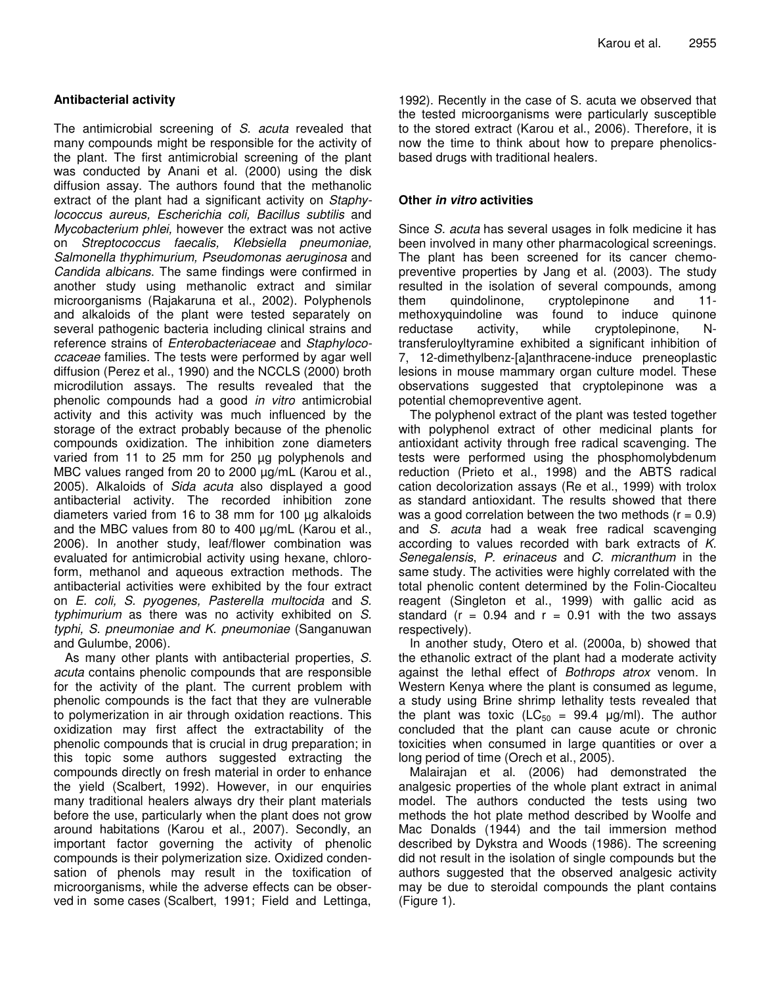# **Antibacterial activity**

The antimicrobial screening of *S. acuta* revealed that many compounds might be responsible for the activity of the plant. The first antimicrobial screening of the plant was conducted by Anani et al. (2000) using the disk diffusion assay. The authors found that the methanolic extract of the plant had a significant activity on *Staphylococcus aureus, Escherichia coli, Bacillus subtilis* and *Mycobacterium phlei,* however the extract was not active on *Streptococcus faecalis, Klebsiella pneumoniae, Salmonella thyphimurium, Pseudomonas aeruginosa* and *Candida albicans*. The same findings were confirmed in another study using methanolic extract and similar microorganisms (Rajakaruna et al., 2002). Polyphenols and alkaloids of the plant were tested separately on several pathogenic bacteria including clinical strains and reference strains of *Enterobacteriaceae* and *Staphylococcaceae* families. The tests were performed by agar well diffusion (Perez et al., 1990) and the NCCLS (2000) broth microdilution assays. The results revealed that the phenolic compounds had a good *in vitro* antimicrobial activity and this activity was much influenced by the storage of the extract probably because of the phenolic compounds oxidization. The inhibition zone diameters varied from 11 to 25 mm for 250 µg polyphenols and MBC values ranged from 20 to 2000  $\mu$ g/mL (Karou et al., 2005). Alkaloids of *Sida acuta* also displayed a good antibacterial activity. The recorded inhibition zone diameters varied from 16 to 38 mm for 100 µg alkaloids and the MBC values from 80 to 400 µg/mL (Karou et al., 2006). In another study, leaf/flower combination was evaluated for antimicrobial activity using hexane, chloroform, methanol and aqueous extraction methods. The antibacterial activities were exhibited by the four extract on *E. coli, S. pyogenes, Pasterella multocida* and *S. typhimurium* as there was no activity exhibited on *S. typhi, S. pneumoniae and K. pneumoniae* (Sanganuwan and Gulumbe, 2006).

As many other plants with antibacterial properties, *S. acuta* contains phenolic compounds that are responsible for the activity of the plant. The current problem with phenolic compounds is the fact that they are vulnerable to polymerization in air through oxidation reactions. This oxidization may first affect the extractability of the phenolic compounds that is crucial in drug preparation; in this topic some authors suggested extracting the compounds directly on fresh material in order to enhance the yield (Scalbert, 1992). However, in our enquiries many traditional healers always dry their plant materials before the use, particularly when the plant does not grow around habitations (Karou et al., 2007). Secondly, an important factor governing the activity of phenolic compounds is their polymerization size. Oxidized condensation of phenols may result in the toxification of microorganisms, while the adverse effects can be observed in some cases (Scalbert, 1991; Field and Lettinga,

1992). Recently in the case of S. acuta we observed that the tested microorganisms were particularly susceptible to the stored extract (Karou et al., 2006). Therefore, it is now the time to think about how to prepare phenolicsbased drugs with traditional healers.

### **Other** *in vitro* **activities**

Since *S. acuta* has several usages in folk medicine it has been involved in many other pharmacological screenings. The plant has been screened for its cancer chemopreventive properties by Jang et al. (2003). The study resulted in the isolation of several compounds, among them quindolinone, cryptolepinone and 11 methoxyquindoline was found to induce quinone reductase activity, while cryptolepinone, Ntransferuloyltyramine exhibited a significant inhibition of 7, 12-dimethylbenz-[a]anthracene-induce preneoplastic lesions in mouse mammary organ culture model. These observations suggested that cryptolepinone was a potential chemopreventive agent.

The polyphenol extract of the plant was tested together with polyphenol extract of other medicinal plants for antioxidant activity through free radical scavenging. The tests were performed using the phosphomolybdenum reduction (Prieto et al., 1998) and the ABTS radical cation decolorization assays (Re et al., 1999) with trolox as standard antioxidant. The results showed that there was a good correlation between the two methods  $(r = 0.9)$ and *S. acuta* had a weak free radical scavenging according to values recorded with bark extracts of *K. Senegalensis*, *P. erinaceus* and *C. micranthum* in the same study. The activities were highly correlated with the total phenolic content determined by the Folin-Ciocalteu reagent (Singleton et al., 1999) with gallic acid as standard ( $r = 0.94$  and  $r = 0.91$  with the two assays respectively).

In another study, Otero et al. (2000a, b) showed that the ethanolic extract of the plant had a moderate activity against the lethal effect of *Bothrops atrox* venom. In Western Kenya where the plant is consumed as legume, a study using Brine shrimp lethality tests revealed that the plant was toxic (LC<sub>50</sub> = 99.4  $\mu$ g/ml). The author concluded that the plant can cause acute or chronic toxicities when consumed in large quantities or over a long period of time (Orech et al., 2005).

Malairajan et al. (2006) had demonstrated the analgesic properties of the whole plant extract in animal model. The authors conducted the tests using two methods the hot plate method described by Woolfe and Mac Donalds (1944) and the tail immersion method described by Dykstra and Woods (1986). The screening did not result in the isolation of single compounds but the authors suggested that the observed analgesic activity may be due to steroidal compounds the plant contains (Figure 1).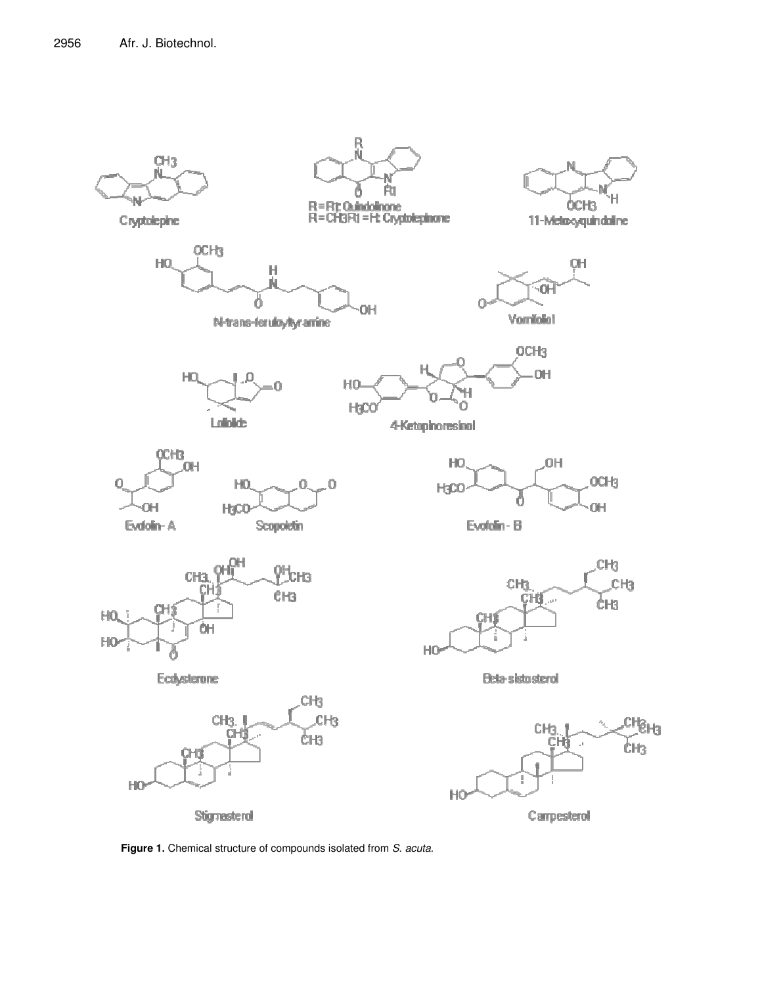

**Figure 1.** Chemical structure of compounds isolated from *S. acuta.*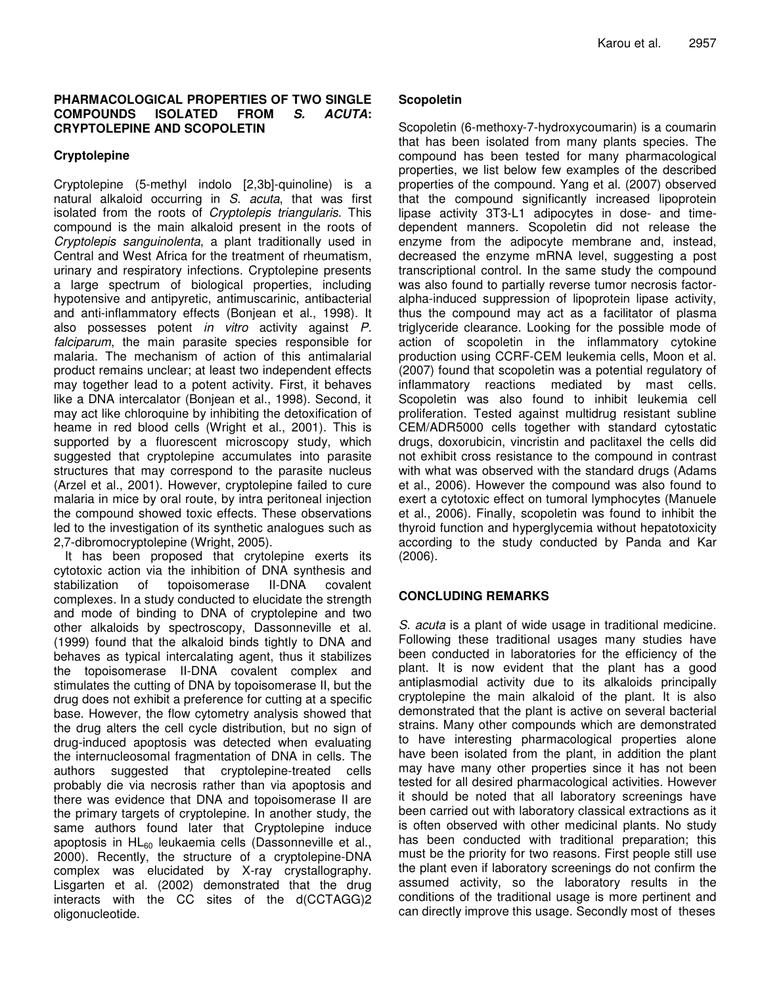#### **PHARMACOLOGICAL PROPERTIES OF TWO SINGLE COMPOUNDS ISOLATED FROM** *S. ACUTA***: CRYPTOLEPINE AND SCOPOLETIN**

#### **Cryptolepine**

Cryptolepine (5-methyl indolo [2,3b]-quinoline) is a natural alkaloid occurring in *S. acuta*, that was first isolated from the roots of *Cryptolepis triangularis*. This compound is the main alkaloid present in the roots of *Cryptolepis sanguinolenta*, a plant traditionally used in Central and West Africa for the treatment of rheumatism, urinary and respiratory infections. Cryptolepine presents a large spectrum of biological properties, including hypotensive and antipyretic, antimuscarinic, antibacterial and anti-inflammatory effects (Bonjean et al., 1998). It also possesses potent *in vitro* activity against *P. falciparum*, the main parasite species responsible for malaria. The mechanism of action of this antimalarial product remains unclear; at least two independent effects may together lead to a potent activity. First, it behaves like a DNA intercalator (Bonjean et al., 1998). Second, it may act like chloroquine by inhibiting the detoxification of heame in red blood cells (Wright et al., 2001). This is supported by a fluorescent microscopy study, which suggested that cryptolepine accumulates into parasite structures that may correspond to the parasite nucleus (Arzel et al., 2001). However, cryptolepine failed to cure malaria in mice by oral route, by intra peritoneal injection the compound showed toxic effects. These observations led to the investigation of its synthetic analogues such as 2,7-dibromocryptolepine (Wright, 2005).

It has been proposed that crytolepine exerts its cytotoxic action via the inhibition of DNA synthesis and stabilization of topoisomerase II-DNA covalent complexes. In a study conducted to elucidate the strength and mode of binding to DNA of cryptolepine and two other alkaloids by spectroscopy, Dassonneville et al. (1999) found that the alkaloid binds tightly to DNA and behaves as typical intercalating agent, thus it stabilizes the topoisomerase II-DNA covalent complex and stimulates the cutting of DNA by topoisomerase II, but the drug does not exhibit a preference for cutting at a specific base. However, the flow cytometry analysis showed that the drug alters the cell cycle distribution, but no sign of drug-induced apoptosis was detected when evaluating the internucleosomal fragmentation of DNA in cells. The authors suggested that cryptolepine-treated cells probably die via necrosis rather than via apoptosis and there was evidence that DNA and topoisomerase II are the primary targets of cryptolepine. In another study, the same authors found later that Cryptolepine induce apoptosis in HL<sub>60</sub> leukaemia cells (Dassonneville et al., 2000). Recently, the structure of a cryptolepine-DNA complex was elucidated by X-ray crystallography. Lisgarten et al. (2002) demonstrated that the drug interacts with the CC sites of the d(CCTAGG)2 oligonucleotide.

# **Scopoletin**

Scopoletin (6-methoxy-7-hydroxycoumarin) is a coumarin that has been isolated from many plants species. The compound has been tested for many pharmacological properties, we list below few examples of the described properties of the compound. Yang et al. (2007) observed that the compound significantly increased lipoprotein lipase activity 3T3-L1 adipocytes in dose- and timedependent manners. Scopoletin did not release the enzyme from the adipocyte membrane and, instead, decreased the enzyme mRNA level, suggesting a post transcriptional control. In the same study the compound was also found to partially reverse tumor necrosis factoralpha-induced suppression of lipoprotein lipase activity, thus the compound may act as a facilitator of plasma triglyceride clearance. Looking for the possible mode of action of scopoletin in the inflammatory cytokine production using CCRF-CEM leukemia cells, Moon et al. (2007) found that scopoletin was a potential regulatory of inflammatory reactions mediated by mast cells. Scopoletin was also found to inhibit leukemia cell proliferation. Tested against multidrug resistant subline CEM/ADR5000 cells together with standard cytostatic drugs, doxorubicin, vincristin and paclitaxel the cells did not exhibit cross resistance to the compound in contrast with what was observed with the standard drugs (Adams et al., 2006). However the compound was also found to exert a cytotoxic effect on tumoral lymphocytes (Manuele et al., 2006). Finally, scopoletin was found to inhibit the thyroid function and hyperglycemia without hepatotoxicity according to the study conducted by Panda and Kar (2006).

# **CONCLUDING REMARKS**

*S. acuta* is a plant of wide usage in traditional medicine. Following these traditional usages many studies have been conducted in laboratories for the efficiency of the plant. It is now evident that the plant has a good antiplasmodial activity due to its alkaloids principally cryptolepine the main alkaloid of the plant. It is also demonstrated that the plant is active on several bacterial strains. Many other compounds which are demonstrated to have interesting pharmacological properties alone have been isolated from the plant, in addition the plant may have many other properties since it has not been tested for all desired pharmacological activities. However it should be noted that all laboratory screenings have been carried out with laboratory classical extractions as it is often observed with other medicinal plants. No study has been conducted with traditional preparation; this must be the priority for two reasons. First people still use the plant even if laboratory screenings do not confirm the assumed activity, so the laboratory results in the conditions of the traditional usage is more pertinent and can directly improve this usage. Secondly most of theses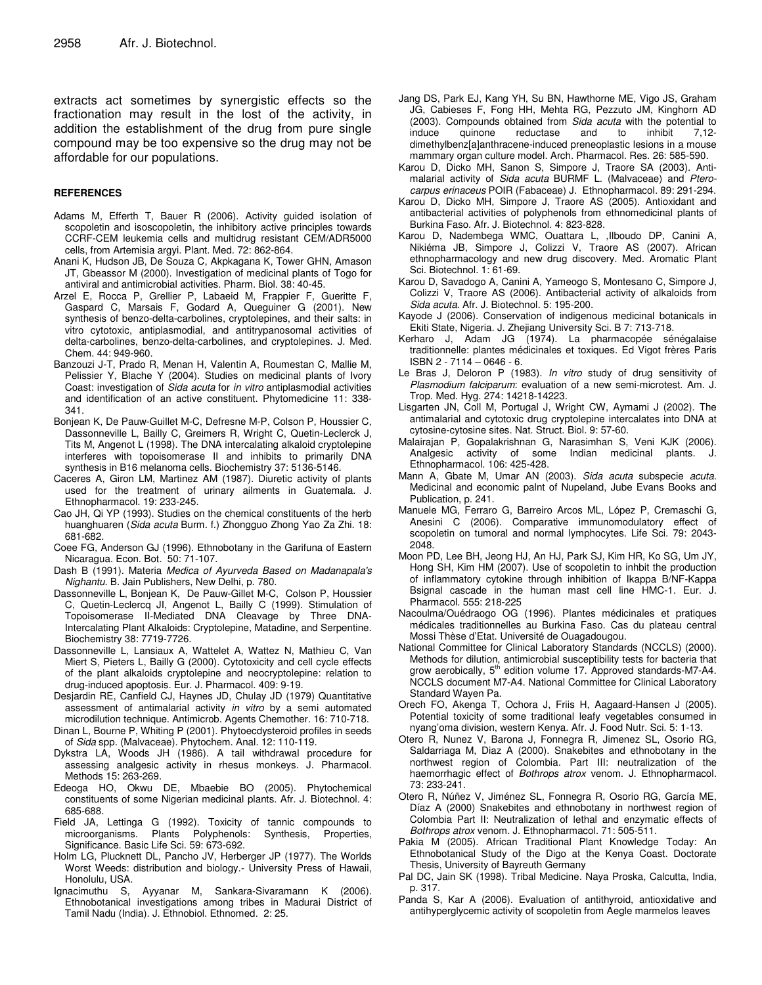extracts act sometimes by synergistic effects so the fractionation may result in the lost of the activity, in addition the establishment of the drug from pure single compound may be too expensive so the drug may not be affordable for our populations.

#### **REFERENCES**

- Adams M, Efferth T, Bauer R (2006). Activity guided isolation of scopoletin and isoscopoletin, the inhibitory active principles towards CCRF-CEM leukemia cells and multidrug resistant CEM/ADR5000 cells, from Artemisia argyi. Plant. Med. 72: 862-864.
- Anani K, Hudson JB, De Souza C, Akpkagana K, Tower GHN, Amason JT, Gbeassor M (2000). Investigation of medicinal plants of Togo for antiviral and antimicrobial activities. Pharm. Biol*.* 38: 40-45.
- Arzel E, Rocca P, Grellier P, Labaeid M, Frappier F, Gueritte F, Gaspard C, Marsais F, Godard A, Queguiner G (2001). New synthesis of benzo-delta-carbolines, cryptolepines, and their salts: in vitro cytotoxic, antiplasmodial, and antitrypanosomal activities of delta-carbolines, benzo-delta-carbolines, and cryptolepines. J. Med. Chem. 44: 949-960.
- Banzouzi J-T, Prado R, Menan H, Valentin A, Roumestan C, Mallie M, Pelissier Y, Blache Y (2004). Studies on medicinal plants of Ivory Coast: investigation of *Sida acuta* for *in vitro* antiplasmodial activities and identification of an active constituent. Phytomedicine 11: 338- 341.
- Bonjean K, De Pauw-Guillet M-C, Defresne M-P, Colson P, Houssier C, Dassonneville L, Bailly C, Greimers R, Wright C, Quetin-Leclerck J, Tits M, Angenot L (1998). The DNA intercalating alkaloid cryptolepine interferes with topoisomerase II and inhibits to primarily DNA synthesis in B16 melanoma cells. Biochemistry 37: 5136-5146.
- Caceres A, Giron LM, Martinez AM (1987). Diuretic activity of plants used for the treatment of urinary ailments in Guatemala. J. Ethnopharmacol. 19: 233-245.
- Cao JH, Qi YP (1993). Studies on the chemical constituents of the herb huanghuaren (*Sida acuta* Burm. f.) Zhongguo Zhong Yao Za Zhi. 18: 681-682.
- Coee FG, Anderson GJ (1996). Ethnobotany in the Garifuna of Eastern Nicaragua*.* Econ. Bot*.* 50: 71-107.
- Dash B (1991). Materia *Medica of Ayurveda Based on Madanapala's Nighantu*. B. Jain Publishers, New Delhi, p. 780.
- Dassonneville L, Bonjean K, De Pauw-Gillet M-C, Colson P, Houssier C, Quetin-Leclercq JI, Angenot L, Bailly C (1999). Stimulation of Topoisomerase II-Mediated DNA Cleavage by Three DNA-Intercalating Plant Alkaloids: Cryptolepine, Matadine, and Serpentine. Biochemistry 38: 7719-7726.
- Dassonneville L, Lansiaux A, Wattelet A, Wattez N, Mathieu C, Van Miert S, Pieters L, Bailly G (2000). Cytotoxicity and cell cycle effects of the plant alkaloids cryptolepine and neocryptolepine: relation to drug-induced apoptosis. Eur. J. Pharmacol. 409: 9-19.
- Desjardin RE, Canfield CJ, Haynes JD, Chulay JD (1979) Quantitative assessment of antimalarial activity *in vitro* by a semi automated microdilution technique. Antimicrob. Agents Chemother. 16: 710-718.
- Dinan L, Bourne P, Whiting P (2001). Phytoecdysteroid profiles in seeds of *Sida* spp. (Malvaceae). Phytochem. Anal. 12: 110-119.
- Dykstra LA, Woods JH (1986). A tail withdrawal procedure for assessing analgesic activity in rhesus monkeys. J. Pharmacol. Methods 15: 263-269.
- Edeoga HO, Okwu DE, Mbaebie BO (2005). Phytochemical constituents of some Nigerian medicinal plants. Afr. J. Biotechnol*.* 4: 685-688.
- Field JA, Lettinga G (1992). Toxicity of tannic compounds to microorganisms. Plants Polyphenols: Synthesis, Properties, Significance. Basic Life Sci. 59: 673-692.
- Holm LG, Plucknett DL, Pancho JV, Herberger JP (1977). The Worlds Worst Weeds: distribution and biology.- University Press of Hawaii, Honolulu, USA.
- Ignacimuthu S, Ayyanar M, Sankara-Sivaramann K (2006). Ethnobotanical investigations among tribes in Madurai District of Tamil Nadu (India). J. Ethnobiol. Ethnomed*.* 2: 25.
- Jang DS, Park EJ, Kang YH, Su BN, Hawthorne ME, Vigo JS, Graham JG, Cabieses F, Fong HH, Mehta RG, Pezzuto JM, Kinghorn AD (2003). Compounds obtained from *Sida acuta* with the potential to induce quinone reductase and to inhibit 7,12 dimethylbenz[a]anthracene-induced preneoplastic lesions in a mouse mammary organ culture model. Arch. Pharmacol. Res. 26: 585-590.
- Karou D, Dicko MH, Sanon S, Simpore J, Traore SA (2003). Antimalarial activity of *Sida acuta* BURMF L. (Malvaceae) and *Pterocarpus erinaceus* POIR (Fabaceae) J. Ethnopharmacol*.* 89: 291-294.
- Karou D, Dicko MH, Simpore J, Traore AS (2005). Antioxidant and antibacterial activities of polyphenols from ethnomedicinal plants of Burkina Faso. Afr. J. Biotechnol*.* 4: 823-828.
- Karou D, Nadembega WMC, Ouattara L, ,Ilboudo DP, Canini A, Nikiéma JB, Simpore J, Colizzi V, Traore AS (2007). African ethnopharmacology and new drug discovery. Med. Aromatic Plant Sci. Biotechnol. 1: 61-69.
- Karou D, Savadogo A, Canini A, Yameogo S, Montesano C, Simpore J, Colizzi V, Traore AS (2006). Antibacterial activity of alkaloids from *Sida acuta*. Afr. J. Biotechnol*.* 5: 195-200.
- Kayode J (2006). Conservation of indigenous medicinal botanicals in Ekiti State, Nigeria. J. Zhejiang University Sci. B 7: 713-718.
- Kerharo J, Adam JG (1974). La pharmacopée sénégalaise traditionnelle: plantes médicinales et toxiques. Ed Vigot frères Paris ISBN 2 - 7114 – 0646 - 6.
- Le Bras J, Deloron P (1983). *In vitro* study of drug sensitivity of *Plasmodium falciparum*: evaluation of a new semi-microtest. Am. J. Trop. Med. Hyg. 274: 14218-14223.
- Lisgarten JN, Coll M, Portugal J, Wright CW, Aymami J (2002). The antimalarial and cytotoxic drug cryptolepine intercalates into DNA at cytosine-cytosine sites. Nat. Struct. Biol. 9: 57-60.
- Malairajan P, Gopalakrishnan G, Narasimhan S, Veni KJK (2006). Analgesic activity of some Indian medicinal plants. J. Ethnopharmacol. 106: 425-428.
- Mann A, Gbate M, Umar AN (2003). *Sida acuta* subspecie *acuta*. Medicinal and economic palnt of Nupeland, Jube Evans Books and Publication, p. 241.
- Manuele MG, Ferraro G, Barreiro Arcos ML, López P, Cremaschi G, Anesini C (2006). Comparative immunomodulatory effect of scopoletin on tumoral and normal lymphocytes. Life Sci. 79: 2043- 2048.
- Moon PD, Lee BH, Jeong HJ, An HJ, Park SJ, Kim HR, Ko SG, Um JY, Hong SH, Kim HM (2007). Use of scopoletin to inhbit the production of inflammatory cytokine through inhibition of Ikappa B/NF-Kappa Bsignal cascade in the human mast cell line HMC-1. Eur. J. Pharmacol. 555: 218-225
- Nacoulma/Ouédraogo OG (1996). Plantes médicinales et pratiques médicales traditionnelles au Burkina Faso. Cas du plateau central Mossi Thèse d'Etat. Université de Ouagadougou.
- National Committee for Clinical Laboratory Standards (NCCLS) (2000). Methods for dilution, antimicrobial susceptibility tests for bacteria that grow aerobically, 5<sup>th</sup> edition volume 17. Approved standards-M7-A4. NCCLS document M7-A4. National Committee for Clinical Laboratory Standard Wayen Pa.
- Orech FO, Akenga T, Ochora J, Friis H, Aagaard-Hansen J (2005). Potential toxicity of some traditional leafy vegetables consumed in nyang'oma division, western Kenya. Afr. J. Food Nutr. Sci. 5: 1-13.
- Otero R, Nunez V, Barona J, Fonnegra R, Jimenez SL, Osorio RG, Saldarriaga M, Diaz A (2000). Snakebites and ethnobotany in the northwest region of Colombia. Part III: neutralization of the haemorrhagic effect of *Bothrops atrox* venom. J. Ethnopharmacol*.* 73: 233-241.
- Otero R, Núñez V, Jiménez SL, Fonnegra R, Osorio RG, García ME, Díaz A (2000) Snakebites and ethnobotany in northwest region of Colombia Part II: Neutralization of lethal and enzymatic effects of *Bothrops atrox* venom. J. Ethnopharmacol. 71: 505-511.
- Pakia M (2005). African Traditional Plant Knowledge Today: An Ethnobotanical Study of the Digo at the Kenya Coast. Doctorate Thesis, University of Bayreuth Germany
- Pal DC, Jain SK (1998). Tribal Medicine. Naya Proska, Calcutta, India, p. 317.
- Panda S, Kar A (2006). Evaluation of antithyroid, antioxidative and antihyperglycemic activity of scopoletin from Aegle marmelos leaves